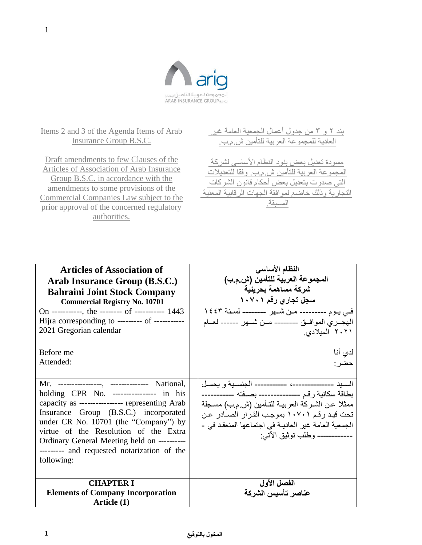

Items 2 and 3 of the Agenda Items of Arab Insurance Group B.S.C.

Draft amendments to few Clauses of the Articles of Association of Arab Insurance Group B.S.C. in accordance with the amendments to some provisions of the Commercial Companies Law subject to the prior approval of the concerned regulatory authorities.

| بند ٢ و ٣ من جدول أعمال الجمعية العامة غير         |
|----------------------------------------------------|
| العادية للمجموعة العربية للتأمين ش م ب.            |
|                                                    |
| مسودة تعديل بعض بنود النظام الأساسى لشركة          |
| المجموعة العربية للتأمين ش م ب. وفقا للتعديلات     |
| التي صدرت بتعديل بعض أحكام قانون الشركات           |
| التجارية وذلك خاضع لموافقة الجهات الرقابية المعنية |
| المستقة                                            |
|                                                    |

| <b>Articles of Association of</b><br>Arab Insurance Group (B.S.C.)<br><b>Bahraini Joint Stock Company</b><br><b>Commercial Registry No. 10701</b><br>On -----------, the -------- of ---------- 1443<br>Hijra corresponding to --------- of -----------<br>2021 Gregorian calendar<br>Before me<br>Attended:                                                                     | النظام الأساسى<br>المجموعة العربية للتأمين (ش.م.ب)<br>شركة مساهمة بحرينية<br>سجل تجاري رقم ۱۰۷۰۱<br>في يوم -------- من شـهر ------- لسنة ١٤٤٣<br>الهجــري الموافــق -------- مــن شـــهر ------ لعــام<br>۲۰۲۱ المیلادی <sub>.</sub><br>لدي أنا<br>حضر :                                             |
|----------------------------------------------------------------------------------------------------------------------------------------------------------------------------------------------------------------------------------------------------------------------------------------------------------------------------------------------------------------------------------|------------------------------------------------------------------------------------------------------------------------------------------------------------------------------------------------------------------------------------------------------------------------------------------------------|
| Mr. ---------------, -------------- National,<br>holding CPR No. --------------- in his<br>capacity as ---------------- representing Arab<br>Insurance Group (B.S.C.) incorporated<br>under CR No. 10701 (the "Company") by<br>virtue of the Resolution of the Extra<br>Ordinary General Meeting held on ----------<br>--------- and requested notarization of the<br>following: | السـبد --------------، ---------- الجنسـبة و بـحمـل<br>بطاقة سكانية رقم -------------- بصـفته -----------<br>ممثلا عن الشركة العربيـة للتـأمين (ش.م.ب) مسـجلة<br>تحت قيد رقم ١٠٧٠١ بموجب القرار الصـادر عن<br>الجمعية العامة غير العاديـة في اجتماعها المنعقد في -<br>------------ وطلب توثيق الآتي: |
| <b>CHAPTER I</b><br><b>Elements of Company Incorporation</b><br>Article (1)                                                                                                                                                                                                                                                                                                      | الفصل الأول<br>عناصر تأسيس الشركة                                                                                                                                                                                                                                                                    |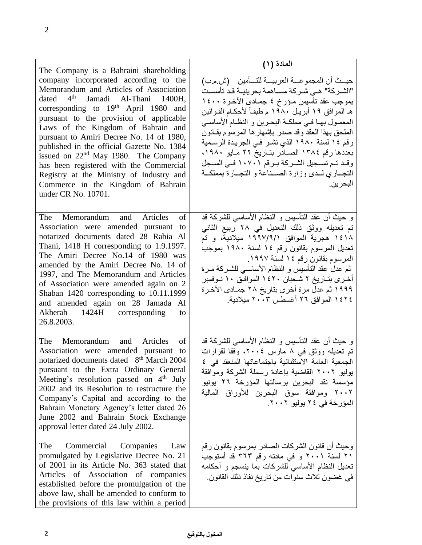| The Company is a Bahraini shareholding<br>company incorporated according to the<br>Memorandum and Articles of Association<br>dated $4th$ Jamadi Al-Thani 1400H,<br>corresponding to 19 <sup>th</sup> April 1980 and<br>pursuant to the provision of applicable<br>Laws of the Kingdom of Bahrain and<br>pursuant to Amiri Decree No. 14 of 1980,<br>published in the official Gazette No. 1384<br>issued on $22nd$ May 1980. The Company<br>has been registered with the Commercial<br>Registry at the Ministry of Industry and<br>Commerce in the Kingdom of Bahrain<br>under CR No. 10701. | المادة (١)<br>حيــث أن المجموعـــة العربيـــة للتـــأمين    (ش م ب)<br>"الشـركة" هـي شـركة مسـاهمة بحرينيـة قـد تأسسـت<br>بموجب عقد تأسيس مـؤرخ ٤ جمــادي الآخـرة ١٤٠٠<br>هـ الموافق ١٩ أبريـل ١٩٨٠ م طبقـاً لأحكــام القـوانين<br>المعمـول بهـا فـي مملكـة البحـرين و النظـام الأساسـي<br>الملحق بهذا العقد وقد صدر بإشهارها المرسوم بقـانون<br>رقم ١٤ لسنة ١٩٨٠ الذي نشر في الجريدة الرسمية<br>بعددها رقم ١٣٨٤ الصــادر بتـاريخ ٢٢ مـايو ١٩٨٠،<br>وقد تم تسجيل الشركة برقم ١٠٧٠١ في السجل<br>التجــاري لــدى وزارة الصــناعة و التجــارة بمملكــة<br>البحر ين. |
|----------------------------------------------------------------------------------------------------------------------------------------------------------------------------------------------------------------------------------------------------------------------------------------------------------------------------------------------------------------------------------------------------------------------------------------------------------------------------------------------------------------------------------------------------------------------------------------------|------------------------------------------------------------------------------------------------------------------------------------------------------------------------------------------------------------------------------------------------------------------------------------------------------------------------------------------------------------------------------------------------------------------------------------------------------------------------------------------------------------------------------------------------------------------|
| The Memorandum and Articles<br>of<br>Association were amended pursuant<br>to<br>notarized documents dated 28 Rabia Al<br>Thani, 1418 H corresponding to 1.9.1997.<br>The Amiri Decree No.14 of 1980 was<br>amended by the Amiri Decree No. 14 of<br>1997, and The Memorandum and Articles<br>of Association were amended again on 2<br>Shaban 1420 corresponding to 10.11.1999<br>and amended again on 28 Jamada Al<br>Akherah 1424H corresponding<br>to<br>26.8.2003.                                                                                                                       | و حيث أن عقد التأسيس و النظام الأساس <sub>م</sub> للشركة قد<br>تم تعديله ووثق ذلك التعديل في ٢٨ ربيع الثاني<br>۱٤۱۸ هجرية الموافق ١٩٩٧/٩/١ ميلادية، و تم<br>تعديل المرسوم بقانون رقم ١٤ لسنة ١٩٨٠ بموجب<br>المرسوم بقانون رقم ١٤ لسنة ١٩٩٧.<br>ثم عدل عقد التأسيس و النظام الأساسـي للشـركـة مـرة<br>أخرى بتـاريخ ٢ شـعبان ١٤٢٠ الموافـق ١٠ نـوفمبر<br>1999 ثم عدل مرة أخرى بتاريخ ٢٨ جمـادى الآخـرة<br>١٤٢٤ الموافق ٢٦ أغسطس ٢٠٠٣ ميلادية.                                                                                                                      |
| The<br>Memorandum and Articles<br>of<br>Association were amended pursuant to<br>notarized documents dated 8 <sup>th</sup> March 2004<br>pursuant to the Extra Ordinary General<br>Meeting's resolution passed on $4th$ July<br>2002 and its Resolution to restructure the<br>Company's Capital and according to the<br>Bahrain Monetary Agency's letter dated 26<br>June 2002 and Bahrain Stock Exchange<br>approval letter dated 24 July 2002.                                                                                                                                              | و حيث أن عقد التأسيس و النظام الأساسي للشركة قد<br>تم تعدیله ووثق فی ۸ مارس ۲۰۰٤، وفقا لقرارات<br>الجمعية العامة الاستثنائية باجتماعاتها المنعقد فى ٤<br>بوليو ٢٠٠٢ القاضية بإعادة رسملة الشركة وموافقة<br>مؤسسة نقد البحرين برسالتها المؤرخة ٢٦ يونيو<br>٢٠٠٢ وموافقة سوق البحرين للأوراق المالية<br>المؤرخة في ٢٤ يوليو ٢٠٠٢.                                                                                                                                                                                                                                  |
| Commercial Companies<br>The<br>Law<br>promulgated by Legislative Decree No. 21<br>of 2001 in its Article No. 363 stated that<br>Articles of Association of companies<br>established before the promulgation of the<br>above law, shall be amended to conform to<br>the provisions of this law within a period                                                                                                                                                                                                                                                                                | وحيث أن قانون الشركات الصادر بمرسوم بقانون رقم<br>٢١ لسنة ٢٠٠١ و في مادته رقم ٣٦٣ قد أستوجب<br>تعديل النظام الأساسى للشركات بما ينسجم و أحكامه<br>في غضون ثلاث سنوات من تاريخ نفاذ ذلك القانون.                                                                                                                                                                                                                                                                                                                                                                  |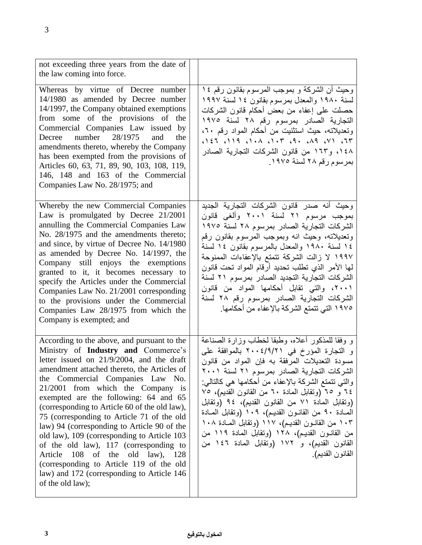| not exceeding three years from the date of<br>the law coming into force.                                                                                                                                                                                                                                                                                                                                                                                                                                                                                                                                                                                                                  |                                                                                                                                                                                                                                                                                                                                                                                                                                                                                                                                                                                                       |
|-------------------------------------------------------------------------------------------------------------------------------------------------------------------------------------------------------------------------------------------------------------------------------------------------------------------------------------------------------------------------------------------------------------------------------------------------------------------------------------------------------------------------------------------------------------------------------------------------------------------------------------------------------------------------------------------|-------------------------------------------------------------------------------------------------------------------------------------------------------------------------------------------------------------------------------------------------------------------------------------------------------------------------------------------------------------------------------------------------------------------------------------------------------------------------------------------------------------------------------------------------------------------------------------------------------|
| Whereas by virtue of Decree number<br>14/1980 as amended by Decree number<br>14/1997, the Company obtained exemptions<br>from some of the provisions of the<br>Commercial Companies Law issued by<br>Decree number 28/1975<br>and<br>the<br>amendments thereto, whereby the Company<br>has been exempted from the provisions of<br>Articles 60, 63, 71, 89, 90, 103, 108, 119,<br>146, 148 and 163 of the Commercial<br>Companies Law No. 28/1975; and                                                                                                                                                                                                                                    | وحيث أن الشركة و بموجب المرسوم بقانون رقم ١٤<br>لسنة ١٩٨٠ والمعدل بمرسوم بقانون ١٤ لسنة ١٩٩٧<br>حصلت على إعفاء من بعض أحكام قانون الشركات<br>التجارية الصادر بمرسوم رقم ٢٨ لسنة ١٩٧٥<br>وتعديلاته، حيث استثنيت من أحكام المواد رقم ٢٠،<br>$T5$ $T5$ $T6$ $T8$ $T8$ $T9$ $T1$ $T1$ $T1$ $T2$ $T3$ $T4$ $T5$ $T3$ $T4$<br>١٤٨، و١٦٣ من قانون الشركات التجارية الصادر<br>بمرسوم رقم ٢٨ لسنة ١٩٧٥.                                                                                                                                                                                                        |
| Whereby the new Commercial Companies<br>Law is promulgated by Decree 21/2001<br>annulling the Commercial Companies Law<br>No. 28/1975 and the amendments thereto;<br>and since, by virtue of Decree No. 14/1980<br>as amended by Decree No. 14/1997, the<br>Company still enjoys the exemptions<br>granted to it, it becomes necessary to<br>specify the Articles under the Commercial<br>Companies Law No. 21/2001 corresponding<br>to the provisions under the Commercial<br>Companies Law 28/1975 from which the<br>Company is exempted; and                                                                                                                                           | وحيث أنه صدر قانون الشركات التجارية الجديد<br>بموجب مرسوم ٢١ لسنة ٢٠٠١ وألغى قانون<br>الشركات التجارية الصادر بمرسوم ٢٨ لسنة ١٩٧٥<br>وتعديلاته، وحيث انه وبموجب المرسوم بقانون رقم<br>١٤ لسنة ١٩٨٠ والمعدل بالمرسوم بقانون ١٤ لسنة<br>١٩٩٧ لا زالت الشركة تتمتع بالإعفاءات الممنوحة<br>لمها الأمر الذي تطلب تحديد أرقام المواد تحت قانون<br>الشركات التجارية التجديد الصادر بمرسوم ٢١ لسنة<br>٢٠٠١، والتبي تقابل أحكامها المواد من قانون<br>الشركات التجارية الصادر بمرسوم رقم ٢٨ لسنة<br>١٩٧٥ التي تتمتع الشركة بالإعفاء من أحكامها.                                                                 |
| According to the above, and pursuant to the<br>Ministry of Industry and Commerce's<br>letter issued on 21/9/2004, and the draft<br>amendment attached thereto, the Articles of<br>the Commercial Companies Law No.<br>21/2001 from which the Company is<br>exempted are the following: 64 and 65<br>(corresponding to Article 60 of the old law),<br>75 (corresponding to Article 71 of the old<br>law) 94 (corresponding to Article 90 of the<br>old law), 109 (corresponding to Article 103<br>of the old law), 117 (corresponding to<br>Article 108 of the old law), 128<br>(corresponding to Article 119 of the old<br>law) and 172 (corresponding to Article 146<br>of the old law); | و وفقا للمذكور أعلاه، وطبقا لخطاب وزارة الصناعة<br>و التجارة المؤرخ في ٢٠٠٤/٩/٢١ بالموافقة على<br>مسودة التعديلات المرفقة به فإن المواد من قانون<br>الشركات التجارية الصادر بمرسوم ٢١ لسنة ٢٠٠١<br>والنبي نتمتع الشركة بالإعفاء من أحكامها هي كالتالبي:<br>٢٤ و ٦٥ (ونقابل المعادة ٦٠ من القانون القديم)، ٧٥<br>(وتقابل المادة ٧١ من القانون القديم)، ٩٤ (وتقابل<br>المصادة ٩٠ من القانـون القديـم)، ١٠٩ (وتقابل المصادة<br>١٠٣ من القانـون القديـم)، ١١٧ (وتقابل المــادة ١٠٨<br>من القانـون القديـم)، ١٢٨ (وتقابل المادة ١١٩ من<br>القانون القديم)، و ١٧٢ (وتقابل المادة ١٤٦ من<br>القانون القديم). |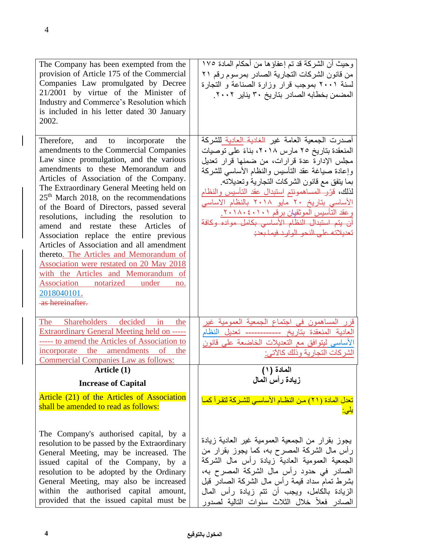| The Company has been exempted from the<br>provision of Article 175 of the Commercial<br>Companies Law promulgated by Decree<br>21/2001 by virtue of the Minister of<br>Industry and Commerce's Resolution which<br>is included in his letter dated 30 January<br>2002.                                                                                                                                                                                                                                                                                                                                                                                                                                                                         | وحيث أن الشركة قد تم إعفاؤ ها من أحكام المادة ١٧٥<br>من قانون الشركات التجارية الصادر بمرسوم رقم ٢١<br>لسنة ٢٠٠١ بموجب قرار وزارة الصناعة و التجارة<br>المضمن بخطابه الصادر بتاريخ ٣٠ يناير ٢٠٠٢.                                                                                                                                                                                                                                                                                                       |
|------------------------------------------------------------------------------------------------------------------------------------------------------------------------------------------------------------------------------------------------------------------------------------------------------------------------------------------------------------------------------------------------------------------------------------------------------------------------------------------------------------------------------------------------------------------------------------------------------------------------------------------------------------------------------------------------------------------------------------------------|---------------------------------------------------------------------------------------------------------------------------------------------------------------------------------------------------------------------------------------------------------------------------------------------------------------------------------------------------------------------------------------------------------------------------------------------------------------------------------------------------------|
| Therefore, and to<br>incorporate<br>the<br>amendments to the Commercial Companies<br>Law since promulgation, and the various<br>amendments to these Memorandum and<br>Articles of Association of the Company.<br>The Extraordinary General Meeting held on<br>$25th$ March 2018, on the recommendations<br>of the Board of Directors, passed several<br>resolutions, including the resolution<br>to<br>amend and restate these Articles<br>of<br>Association replace the entire previous<br>Articles of Association and all amendment<br>thereto. The Articles and Memorandum of<br>Association were restated on 20 May 2018<br>with the Articles and Memorandum of<br>Association notarized<br>under<br>no.<br>2018040101.<br>as hereinafter. | أصدرت الجمعية العامة غير المغادية العادية للشركة<br>المنعقدة بتاريخ ٢٥ مارس ٢٠١٨، بناءً على توصيات<br>مجلس الإدارة عدة قرارات، من ضمنها قرار تعديل<br>وإعادة صبياغة عقد التأسيس والنظام الأساسى للشركة<br>بما يتفق مع قانون الشركات التجارية وتعديلاته.<br>لذلك، قرَّر المساهمونتم استبدال عقد التأسيس والنظام<br><u>الأساسي بتاريخ ٢٠ مايو ٢٠١٨ بالنظام الاساسي</u><br>وعقد التأسيس الموثقيان برقم ٢٠١٨٠٤٠١.<br>أن يتم استبدال النظام الأساسى بكامل مواده وكافة<br>تعديلاته على النحو الوارد فيما يعدن |
| The<br><b>Shareholders</b><br>decided<br>in<br>the<br>Extraordinary General Meeting held on -----<br>----- to amend the Articles of Association to<br>incorporate the amendments of<br>the<br><b>Commercial Companies Law as follows:</b>                                                                                                                                                                                                                                                                                                                                                                                                                                                                                                      | المساهمون في اجتماع الجمعية العمومية غير<br>العادية المنعقدة بتاريخ ------------ تعديل النظام<br>الأساسي ليتوافق مع التعديلات الخاضعة على قانون<br>الشر كات التجار ية وذلك كالآتي:                                                                                                                                                                                                                                                                                                                      |
| Article (1)                                                                                                                                                                                                                                                                                                                                                                                                                                                                                                                                                                                                                                                                                                                                    | المادة (١)                                                                                                                                                                                                                                                                                                                                                                                                                                                                                              |
| <b>Increase of Capital</b>                                                                                                                                                                                                                                                                                                                                                                                                                                                                                                                                                                                                                                                                                                                     | زيادة رأس المال                                                                                                                                                                                                                                                                                                                                                                                                                                                                                         |
| Article (21) of the Articles of Association<br>shall be amended to read as follows:                                                                                                                                                                                                                                                                                                                                                                                                                                                                                                                                                                                                                                                            | تعدل المادة (٢١) من النظـام الأساسـي للشـركة لتقـرأ كمـا<br><u>يلي:</u>                                                                                                                                                                                                                                                                                                                                                                                                                                 |
| The Company's authorised capital, by a<br>resolution to be passed by the Extraordinary<br>General Meeting, may be increased. The<br>issued capital of the Company, by a<br>resolution to be adopted by the Ordinary<br>General Meeting, may also be increased<br>within the authorised capital amount,<br>provided that the issued capital must be                                                                                                                                                                                                                                                                                                                                                                                             | يجوز بقرار من الجمعية العمومية غير العادية زيادة<br>رأس مال الشركة المصرح به، كما يجوز بقرار من<br>الجمعية العمومية العادية زيادة رأس مال الشركة<br>الصادر في حدود رأس مال الشركة المصرح به،<br>بشرط تمام سداد قيمة رأس مال الشركة الصادر قبل<br>الزيادة بالكامل، ويجب أن تتم زيادة رأس المال<br>الصادر فعلأ خلال الثلاث سنوات التالية لصدور                                                                                                                                                            |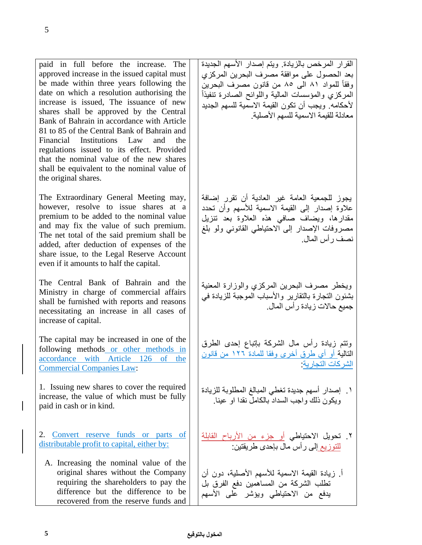paid in full before the increase. The approved increase in the issued capital must be made within three years following the date on which a resolution authorising the increase is issued, The issuance of new shares shall be approved by the Central Bank of Bahrain in accordance with Article 81 to 85 of the Central Bank of Bahrain and Financial Institutions Law and the regulations issued to its effect. Provided that the nominal value of the new shares shall be equivalent to the nominal value of the original shares.

The Extraordinary General Meeting may, however, resolve to issue shares at a premium to be added to the nominal value and may fix the value of such premium. The net total of the said premium shall be added, after deduction of expenses of the share issue, to the Legal Reserve Account even if it amounts to half the capital.

The Central Bank of Bahrain and the Ministry in charge of commercial affairs shall be furnished with reports and reasons necessitating an increase in all cases of increase of capital.

The capital may be increased in one of the following methods or other methods in accordance with Article 126 of the Commercial Companies Law:

1. Issuing new shares to cover the required increase, the value of which must be fully paid in cash or in kind.

2. Convert reserve funds or parts of distributable profit to capital, either by:

A. Increasing the nominal value of the original shares without the Company requiring the shareholders to pay the difference but the difference to be recovered from the reserve funds and

القرار المرخص بالزيادة. ويتم إصدار الأسهم الجديدة بعد الحصول على موافقة مصرف البحرين المركة وفقا للمواد 81 الى 85 من قانون مصرف البحرين المركزي والمؤسسات المالية واللوائح الصادرة تنفيذاً لأحكامه ويجب أن تكون القيمة الاسمية للسهم الجديد معادلة للقيمة الاسمية للسهم الأصلية.

يجوة للجمعية العامة غير العادية أن تقرر إضافة عالوة إصدار إلى القيمة االسمية لألسهم وأن تحدد مقدارها، ويضاف صافي هذه العلاوة بعد تنزيل مصروفات اإلصدار إلى االحتياطي القانوني ولو بلغ نصف رأس المال.

ويخطر مصرف البحرين المركزى والوزارة المعنية ب<br>بشئون التجارة بالتقارير والأسباب الموجبة للزيادة في جميع حالات ز يادة ر أس المال.

وتتم زيادة رأس مال الشركة بإتباع إحدى الطرق التالية أو أي طرق أخرى وفقا للمادة ١٢٦ من قانون الشركات التجارية:

١. إصدار أسهم جديدة تغطي المبالغ المطلوبة للزيادة ويكون ذلك واجب السداد بالكامل نقدا او عينا.

٢. تحويل الاحتياطي <u>أو</u> جزء من الأرباح القابلة للتوزيع إلى رأس مال بإحدى طريقتين:

أ. زيادة القيمة الاسمية للأسهم الأصلية، دون أن تطلب الشركة من المساهمين دفع الترق بل يدفع من االحتياطي ويرشر على األسهم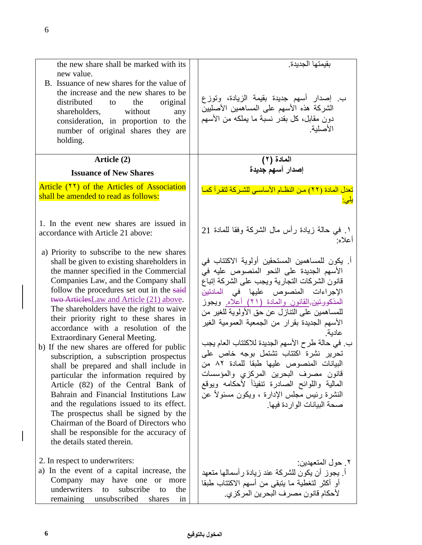| the new share shall be marked with its<br>new value.<br>B. Issuance of new shares for the value of<br>the increase and the new shares to be<br>distributed<br>the<br>original<br>to<br>shareholders,<br>without<br>any<br>consideration, in proportion to the<br>number of original shares they<br>are<br>holding.                                                                                                                                                                                                                                                                                                                                                                                                                                                                                                                                                                                                  | بقبمتها الجدبدة<br>ب إصدار أسهم جديدة بقيمة الزيادة، وتوزع<br>الشركة هذه الأسهم على المساهمين الأصليين<br>دون مقابل، كل بقدر نسبة ما يملكه من الأسهم<br>الأصلبة                                                                                                                                                                                                                                                                                                                                                                                                                                                                                                                |
|---------------------------------------------------------------------------------------------------------------------------------------------------------------------------------------------------------------------------------------------------------------------------------------------------------------------------------------------------------------------------------------------------------------------------------------------------------------------------------------------------------------------------------------------------------------------------------------------------------------------------------------------------------------------------------------------------------------------------------------------------------------------------------------------------------------------------------------------------------------------------------------------------------------------|--------------------------------------------------------------------------------------------------------------------------------------------------------------------------------------------------------------------------------------------------------------------------------------------------------------------------------------------------------------------------------------------------------------------------------------------------------------------------------------------------------------------------------------------------------------------------------------------------------------------------------------------------------------------------------|
| Article (2)                                                                                                                                                                                                                                                                                                                                                                                                                                                                                                                                                                                                                                                                                                                                                                                                                                                                                                         | المادة (٢)                                                                                                                                                                                                                                                                                                                                                                                                                                                                                                                                                                                                                                                                     |
| <b>Issuance of New Shares</b>                                                                                                                                                                                                                                                                                                                                                                                                                                                                                                                                                                                                                                                                                                                                                                                                                                                                                       | إصدار أسهم جديدة                                                                                                                                                                                                                                                                                                                                                                                                                                                                                                                                                                                                                                                               |
| Article (YY) of the Articles of Association<br>shall be amended to read as follows:                                                                                                                                                                                                                                                                                                                                                                                                                                                                                                                                                                                                                                                                                                                                                                                                                                 | تعدل المادة (٢٢) مـن النظـام الأساسـي للشـركة لتقـرأ كمـا<br><u>يلى:</u>                                                                                                                                                                                                                                                                                                                                                                                                                                                                                                                                                                                                       |
| 1. In the event new shares are issued in<br>accordance with Article 21 above:                                                                                                                                                                                                                                                                                                                                                                                                                                                                                                                                                                                                                                                                                                                                                                                                                                       | ١. في حالة زيادة رأس مال الشركة وفقا للمادة 21<br>أعلاه:                                                                                                                                                                                                                                                                                                                                                                                                                                                                                                                                                                                                                       |
| a) Priority to subscribe to the new shares<br>shall be given to existing shareholders in<br>the manner specified in the Commercial<br>Companies Law, and the Company shall<br>follow the procedures set out in the said<br>two ArticlesLaw and Article (21) above.<br>The shareholders have the right to waive<br>their priority right to these shares in<br>accordance with a resolution of the<br><b>Extraordinary General Meeting.</b><br>b) If the new shares are offered for public<br>subscription, a subscription prospectus<br>shall be prepared and shall include in<br>particular the information required by<br>Article (82) of the Central Bank of<br>Bahrain and Financial Institutions Law<br>and the regulations issued to its effect.<br>The prospectus shall be signed by the<br>Chairman of the Board of Directors who<br>shall be responsible for the accuracy of<br>the details stated therein. | أ. يكون للمساهمين المستحقين أولوية الاكتتاب في<br>الأسهم الجديدة على النحو المنصوص عليه في<br>قانون الشركات التجارية ويجب على الشركة إتباع<br>الإجراءات المنصوص عليها في الملاتي <del>ن</del><br><u>المذكورتين القانون والمادة (٢١) أعلاه. ويجوز</u><br>للمساهمين على التنازل عن حق الأولوية للغير من<br>الأسهم الجديدة بقرار من الجمعية العمومية الغير<br>عادبة<br>ب. في حالة طرح الأسهم الجديدة للاكتتاب العام يجب<br>تحریر نشرة اکتتاب تشتمل بوجه خاص علی<br>البيانات المنصوص عليها طبقا للمادة ٨٢ من<br>قانون مصرف البحرين المركزي والمؤسسات<br>المالية واللوائح الصادرة ننفيذأ لأحكامه ويوقع<br>النشرة رئيس مجلس الإدارة ، ويكون مسئولاً عن<br>صحة البيانات الواردة فيها. |
| 2. In respect to underwriters:<br>a) In the event of a capital increase, the<br>Company may have one or more<br>underwriters<br>subscribe<br>to<br>the<br>to<br>remaining unsubscribed<br>shares<br>in                                                                                                                                                                                                                                                                                                                                                                                                                                                                                                                                                                                                                                                                                                              | ٢. حو ل المتعهدين:<br>أ. يجوز أن يكون للشركة عند زيادة رأسمالها متعهد<br>أو أكثر لتغطية ما يتبقى من أسهم الاكتتاب طبقا<br>لأحكام قانون مصرف البحرين المركزي.                                                                                                                                                                                                                                                                                                                                                                                                                                                                                                                   |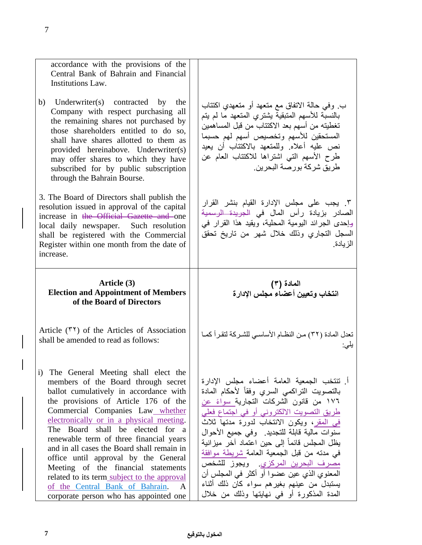| accordance with the provisions of the                                                                                                                                                                                                                                                                                                                           |                                                                                                                                                                                                                                                                                                                       |
|-----------------------------------------------------------------------------------------------------------------------------------------------------------------------------------------------------------------------------------------------------------------------------------------------------------------------------------------------------------------|-----------------------------------------------------------------------------------------------------------------------------------------------------------------------------------------------------------------------------------------------------------------------------------------------------------------------|
| Central Bank of Bahrain and Financial<br>Institutions Law.                                                                                                                                                                                                                                                                                                      |                                                                                                                                                                                                                                                                                                                       |
| Underwriter(s) contracted by the<br>b)<br>Company with respect purchasing all<br>the remaining shares not purchased by<br>those shareholders entitled to do so,<br>shall have shares allotted to them as<br>provided hereinabove. Underwriter(s)<br>may offer shares to which they have<br>subscribed for by public subscription<br>through the Bahrain Bourse. | ب. وفي حالة الاتفاق مع متعهد أو متعهدي اكتتاب<br>بالنسبّة للأسهم المتبقية يشتري المتعهد ما لم يتم<br>تغطيته من أسهم بعد الاكتتاب من قبل المساهمين<br>المستحقين للأسهم وتخصيص أسهم لهم حسبما<br>نص عليه أعلاه وللمتعهد بالاكتتاب أن يعيد<br>طرح الأسهم التي اشتراها للاكتتاب العام عن<br>طر بق شر كة بور صـة البحر بن. |
| 3. The Board of Directors shall publish the<br>resolution issued in approval of the capital<br>increase in the Official Gazette and one<br>local daily newspaper. Such resolution<br>shall be registered with the Commercial<br>Register within one month from the date of<br>increase.                                                                         | ٣. يجب على مجلس الإدارة القيام بنشر القرار<br>الصادر بزيادة رأس المال في <del>الجريدة الرسمية</del><br>وإحدى الجرائد اليومية المحلية، ويقيد هذا القرار في<br>السجل التجاري وذلك خلال شهر من تاريخ تحقق<br>الز يادة.                                                                                                   |
|                                                                                                                                                                                                                                                                                                                                                                 |                                                                                                                                                                                                                                                                                                                       |
| Article (3)<br><b>Election and Appointment of Members</b><br>of the Board of Directors                                                                                                                                                                                                                                                                          | المادة (۳)<br>انتخاب وتعيين أعضاء مجلس الإدارة                                                                                                                                                                                                                                                                        |
| Article $(5)$ of the Articles of Association<br>shall be amended to read as follows:                                                                                                                                                                                                                                                                            | تعدل المادة (٣٢) من النظــام الأساســي للشــركة لتقـرأ كمــا<br>يلى:                                                                                                                                                                                                                                                  |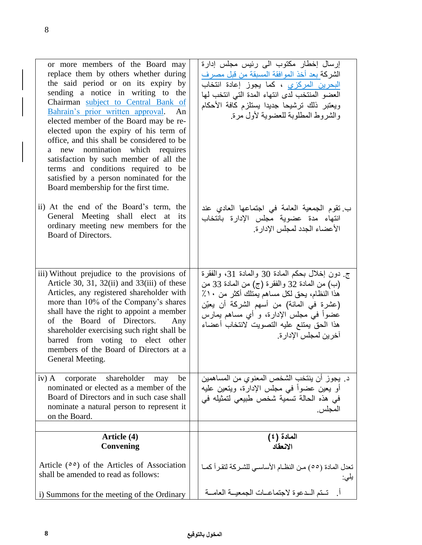| or more members of the Board may<br>replace them by others whether during<br>the said period or on its expiry by<br>sending a notice in writing to the<br>Chairman subject to Central Bank of<br>Bahrain's prior written approval.<br>An<br>elected member of the Board may be re-<br>elected upon the expiry of his term of<br>office, and this shall be considered to be<br>a new nomination which requires<br>satisfaction by such member of all the<br>terms and conditions required to be<br>satisfied by a person nominated for the<br>Board membership for the first time. | إرسال إخطار مكتوب الى رئيس مجلس إدارة<br>الشركة بعد أخذ الموافقة المسبقة من قبل مصرف<br>البحرين المركزي ، كما يجوز إعادة انتخاب<br>العضو المنتخب لدى انتهاء المدة التي انتخب لها<br>ويعتبر ذلك ترشيحا جديدا يستلزم كافة الأحكام<br>والشروط المطلوبة للعضوية لأول مرة.                                          |
|-----------------------------------------------------------------------------------------------------------------------------------------------------------------------------------------------------------------------------------------------------------------------------------------------------------------------------------------------------------------------------------------------------------------------------------------------------------------------------------------------------------------------------------------------------------------------------------|----------------------------------------------------------------------------------------------------------------------------------------------------------------------------------------------------------------------------------------------------------------------------------------------------------------|
| ii) At the end of the Board's term, the<br>General Meeting shall elect at its<br>ordinary meeting new members for the<br>Board of Directors.                                                                                                                                                                                                                                                                                                                                                                                                                                      | ب نقوم الجمعية العامة في اجتماعها العادي عند<br>انتهاء مدة عضوية مجلس الإدارة بانتخاب<br>الأعضاء الجدد لمجلس الإدارة.                                                                                                                                                                                          |
| iii) Without prejudice to the provisions of<br>Article 30, 31, 32(ii) and 33(iii) of these<br>Articles, any registered shareholder with<br>more than 10% of the Company's shares<br>shall have the right to appoint a member<br>of the Board of Directors.<br>Any<br>shareholder exercising such right shall be<br>barred from voting to elect other<br>members of the Board of Directors at a<br>General Meeting.                                                                                                                                                                | ج دون إخلال بحكم المعادة 30 والمعادة 31، والفقرة<br>(ب) من المعادة 32 والفقرة (ج) من المعادة 33 من<br>هذا النظام، يحق لكل مساهم يمتلك أكثر من ١٠٪<br>(عشرة في المائة) من أسهم الشركة أن يعيّن<br>عضواً في مجلس الإدارة، و أي مساهم يمارس<br>هذا الحق يمتنع عليه التصويت لانتخاب أعضاء<br>آخرين لمجلس الإدار ة. |
| shareholder<br>$iv)$ A<br>corporate<br>be<br>may<br>nominated or elected as a member of the<br>Board of Directors and in such case shall<br>nominate a natural person to represent it<br>on the Board.                                                                                                                                                                                                                                                                                                                                                                            | د. يجوز أن ينتخب الشخص المعنوي من المساهمين<br>أو يعين عضوأ في مجلس الإدارة، ويتعين عليه<br>في هذه الحالة تسمية شخص طبيعي لتمثيله في<br>المجلس.                                                                                                                                                                |
| Article (4)                                                                                                                                                                                                                                                                                                                                                                                                                                                                                                                                                                       | المادة (٤)                                                                                                                                                                                                                                                                                                     |
| Convening                                                                                                                                                                                                                                                                                                                                                                                                                                                                                                                                                                         | الانعقاد                                                                                                                                                                                                                                                                                                       |
| Article $(00)$ of the Articles of Association<br>shall be amended to read as follows:                                                                                                                                                                                                                                                                                                                                                                                                                                                                                             | تعدل المادة (00) مـن النظــام الأساســي للشــركة لتقـر أكمــا<br>يلى:                                                                                                                                                                                                                                          |
| i) Summons for the meeting of the Ordinary                                                                                                                                                                                                                                                                                                                                                                                                                                                                                                                                        | أ.    تــتم الــدعوة لاجتماعــات الجمعيــة العامــة                                                                                                                                                                                                                                                            |

أ.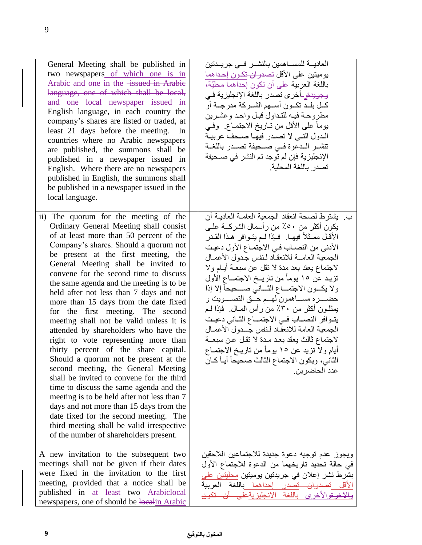| General Meeting shall be published in<br>two newspapers of which one is in<br>Arabic and one in the <i>issued</i> in Arabie<br>language, one of which shall be local,<br>and one local newspaper issued in<br>English language, in each country the<br>company's shares are listed or traded, at<br>least 21 days before the meeting.<br>In<br>countries where no Arabic newspapers<br>are published, the summons shall be<br>published in a newspaper issued in<br>English. Where there are no newspapers<br>published in English, the summons shall<br>be published in a newspaper issued in the<br>local language.                                                                                                                                                                                                                                                                                                                                                                                                                    | العاديـــة للمســـاهمين بالنشـــر فـــى جريــدتين<br>يوميتين على الأقل تصدران تكـون إحـداهما<br>باللغة العربية على أن تكون إحداهما محليّة،<br>وجريدةو-أخرى تصدر باللغة الإنجليزية فـي<br>كــل بلــد تكــون أســـهم الشــركة مدرجــة أو<br>مطروحة فيه للتداول قبل واحد وعشرين<br>يوماً على الأقل من تــاريخ الاجتمــاع. وفــي<br>الدول التـى لا تصـدر فيهـا صـحف عربيـة<br>تنشـر الـدعوة فـي صـحيفة تصـدر باللغـة<br>الإنجليزية فإن لم توجد تم النشر في صـحيفة<br>تصدر باللغة المحلية                                                                                                                                                                                                                                                         |
|------------------------------------------------------------------------------------------------------------------------------------------------------------------------------------------------------------------------------------------------------------------------------------------------------------------------------------------------------------------------------------------------------------------------------------------------------------------------------------------------------------------------------------------------------------------------------------------------------------------------------------------------------------------------------------------------------------------------------------------------------------------------------------------------------------------------------------------------------------------------------------------------------------------------------------------------------------------------------------------------------------------------------------------|----------------------------------------------------------------------------------------------------------------------------------------------------------------------------------------------------------------------------------------------------------------------------------------------------------------------------------------------------------------------------------------------------------------------------------------------------------------------------------------------------------------------------------------------------------------------------------------------------------------------------------------------------------------------------------------------------------------------------------------------|
| ii) The quorum for the meeting of the<br>Ordinary General Meeting shall consist<br>of at least more than 50 percent of the<br>Company's shares. Should a quorum not<br>be present at the first meeting, the<br>General Meeting shall be invited to<br>convene for the second time to discuss<br>the same agenda and the meeting is to be<br>held after not less than 7 days and not<br>more than 15 days from the date fixed<br>for the first meeting. The second<br>meeting shall not be valid unless it is<br>attended by shareholders who have the<br>right to vote representing more than<br>thirty percent of the share capital.<br>Should a quorum not be present at the<br>second meeting, the General Meeting<br>shall be invited to convene for the third<br>time to discuss the same agenda and the<br>meeting is to be held after not less than 7<br>days and not more than 15 days from the<br>date fixed for the second meeting. The<br>third meeting shall be valid irrespective<br>of the number of shareholders present. | ب. يشترط لصحة انعقاد الجمعية العامـة العاديـة أن<br>يكون أكثر من ٥٠٪ من رأسمال الشركــة علــي<br>الأقـل ممـثلاً فيهـا. ۖ فـإذا لـم يتـوافر ۖ هـذا القـدر<br>الأدنى من النصــاب فـي الاجتمـاع الأول دعيت<br>الجمعية العامسة للانعقاد لنفس جدول الأعمال<br>لاجتماع يعقد بعد مدة لا نقل عن سبعــة أيــام ولا<br>تزيد عن ١٥ يوماً من تاريــخ الاجتمــاع الأول<br>ولا يكسون الاجتمـــاع الثـــاني صــــحيحاً إلا إذا<br>يمثلــون أكثر من ٣٠٪ من رأس المــال. ۖ فإذا لــم<br>يتــوافر النصـــاب فــى الاجتمـــاع الثــانـى دعيـت<br>الجمعية العامة للانعقاد لنفس جسدول الأعمىال<br>لاجتماع ثالث يعقد بعد مدة لا تقل عن سبعــة<br>أيام ولا تزيد عن ١٥ يوماً من تاريخ الاجتمـاع<br>الثاني، ويكون الاجتماع الثالث صحيحاً أيـاً كــان<br>عدد الحاضرين. |
| A new invitation to the subsequent two<br>meetings shall not be given if their dates<br>were fixed in the invitation to the first<br>meeting, provided that a notice shall be<br>published in at least two Arabielocal<br>newspapers, one of should be localin Arabic                                                                                                                                                                                                                                                                                                                                                                                                                                                                                                                                                                                                                                                                                                                                                                    | ويجوز عدم توجيه دعوة جديدة للاجتماعين اللاحقين<br>في حالة تحديد تاريخهما من الدعوة للاجتماع الأول<br>بشرط نشر إعلان في جريدتين يوميتين <u>محليتين عل</u> ى<br>الأقل تصدران تصدر إحداهما باللغة العربية<br>خرـقوالأخرى باللغة الانجليزيةع <mark>لـي</mark>                                                                                                                                                                                                                                                                                                                                                                                                                                                                                    |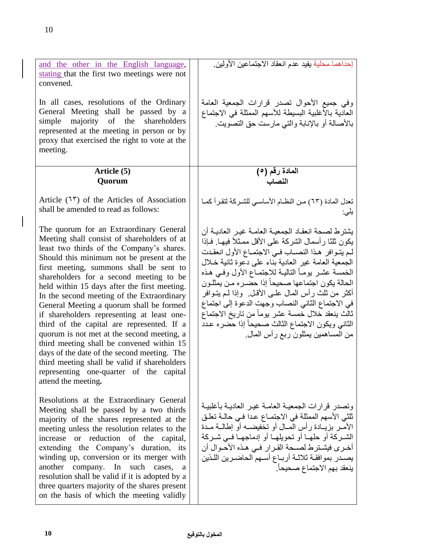$\overline{\phantom{a}}$ 

| and the other in the English language,<br>stating that the first two meetings were not<br>convened.<br>In all cases, resolutions of the Ordinary<br>General Meeting shall be passed by a<br>simple<br>majority of the<br>shareholders<br>represented at the meeting in person or by<br>proxy that exercised the right to vote at the<br>meeting.                                                                                                                                                                                                                                                                                                                                                                                                                         | إحداهما محلية يفيد عدم انعقاد الاجتماعين الأولين.<br>وفي جميع الأحوال تصدر قرارات الجمعية العامة<br>العادية بالأغلبية البسيطة للأسهم الممثلة في الاجتماع<br>بالأصالة أو بالإنابة والتي مارست حق التصويت.                                                                                                                                                                                                                                                                                                                                                                                        |
|--------------------------------------------------------------------------------------------------------------------------------------------------------------------------------------------------------------------------------------------------------------------------------------------------------------------------------------------------------------------------------------------------------------------------------------------------------------------------------------------------------------------------------------------------------------------------------------------------------------------------------------------------------------------------------------------------------------------------------------------------------------------------|-------------------------------------------------------------------------------------------------------------------------------------------------------------------------------------------------------------------------------------------------------------------------------------------------------------------------------------------------------------------------------------------------------------------------------------------------------------------------------------------------------------------------------------------------------------------------------------------------|
| Article (5)<br>Quorum                                                                                                                                                                                                                                                                                                                                                                                                                                                                                                                                                                                                                                                                                                                                                    | المادة رقم (٥)<br>النصاب                                                                                                                                                                                                                                                                                                                                                                                                                                                                                                                                                                        |
| Article $(1r)$ of the Articles of Association<br>shall be amended to read as follows:                                                                                                                                                                                                                                                                                                                                                                                                                                                                                                                                                                                                                                                                                    | تعدل المادة (٦٣) مـن النظــام الأساســي للشـركة لتقـرأ كمــا<br>يلى:                                                                                                                                                                                                                                                                                                                                                                                                                                                                                                                            |
| The quorum for an Extraordinary General<br>Meeting shall consist of shareholders of at<br>least two thirds of the Company's shares.<br>Should this minimum not be present at the<br>first meeting, summons shall be sent to<br>shareholders for a second meeting to be<br>held within 15 days after the first meeting.<br>In the second meeting of the Extraordinary<br>General Meeting a quorum shall be formed<br>if shareholders representing at least one-<br>third of the capital are represented. If a<br>quorum is not met at the second meeting, a<br>third meeting shall be convened within 15<br>days of the date of the second meeting. The<br>third meeting shall be valid if shareholders<br>representing one-quarter of the capital<br>attend the meeting. | يشترط لصحة انعقاد الجمعيـة العامـة غيـر العاديـة أن<br>يكون ثلثا رأسمال الشركة على الأقل ممثلاً فيهـا. فـاذا<br>لم يتـوافر هـذا النصــاب فـي الاجتمـاع الأول انعقـدت<br>الجمعية العامة غير العادية بناء على دعوة ثانية خلال<br>الخمسة عشر بومـأ التالبـة للاجتمـاع الأول وفـي هـذه<br>الحالة يكون اجتماعها صحيحاً إذا حضرره من يمثلون<br>أكثر من ثلث رأس المال علـى الأقـل. ۖ وإذا لـم يتــوافر<br>في الاجتماع الثاني النصاب وجهت الدعوة إلى اجتماع<br>ثالث ينعقد خلال خمسة عشر يومأ من تاريخ الاجتماع<br>الثاني ويكون الاجتماع الثالث صحيحأ إذا حضره عدد<br>من المساهمين يمثلون ربع رأس المال. |
| Resolutions at the Extraordinary General<br>Meeting shall be passed by a two thirds<br>majority of the shares represented at the<br>meeting unless the resolution relates to the<br>increase or reduction of the capital,<br>extending the Company's duration, its<br>winding up, conversion or its merger with<br>another company. In such cases,<br>a<br>resolution shall be valid if it is adopted by a<br>three quarters majority of the shares present<br>on the basis of which the meeting validly                                                                                                                                                                                                                                                                 | وتصدر قرارات الجمعيــة العامــة غبـر العادبــة بأغلببــة<br>ثلثي الأسهم الممثلة في الاجتمــاع عـدا فـي حالــة تعلـق<br>الأمـر  بز بــادة ر أس المــال أو تـخفيضــه أو  إطـالــة مــدة<br>الشـركة أو حلهـا أو تحويلهـا أو إدماجهـا فـي شـركة<br>أخرى فيشترط لصحة القرار في هذه الأحوال أن<br>يصدر بموافقة ثلاثـة أربـاع أسـهم الحاضـرين اللـذين<br>ينعقد بهم الاجتماع صحيحاً.                                                                                                                                                                                                                    |